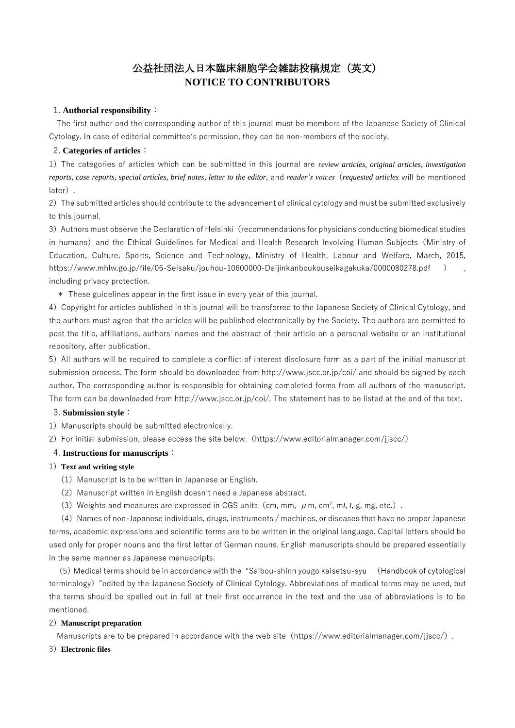# 公益社団法人日本臨床細胞学会雑誌投稿規定(英文) **NOTICE TO CONTRIBUTORS**

# 1. **Authorial responsibility**:

The first author and the corresponding author of this journal must be members of the Japanese Society of Clinical Cytology. In case of editorial committee's permission, they can be non-members of the society.

# 2. **Categories of articles**:

1)The categories of articles which can be submitted in this journal are *review articles, original articles, investigation reports, case reports, special articles, brief notes, letter to the editor,* and *reader's voices*(*requested articles* will be mentioned later).

2) The submitted articles should contribute to the advancement of clinical cytology and must be submitted exclusively to this journal.

3) Authors must observe the Declaration of Helsinki (recommendations for physicians conducting biomedical studies in humans) and the Ethical Guidelines for Medical and Health Research Involving Human Subiects (Ministry of Education, Culture, Sports, Science and Technology, Ministry of Health, Labour and Welfare, March, 2015, https://www.mhlw.go.jp/file/06-Seisaku/jouhou-10600000-Daijinkanboukouseikagakuka/0000080278.pdf) including privacy protection.

\* These guidelines appear in the first issue in every year of this journal.

4)Copyright for articles published in this journal will be transferred to the Japanese Society of Clinical Cytology, and the authors must agree that the articles will be published electronically by the Society. The authors are permitted to post the title, affiliations, authors' names and the abstract of their article on a personal website or an institutional repository, after publication.

5)All authors will be required to complete a conflict of interest disclosure form as a part of the initial manuscript submission process. The form should be downloaded from http://www.jscc.or.jp/coi/ and should be signed by each author. The corresponding author is responsible for obtaining completed forms from all authors of the manuscript. The form can be downloaded from http://www.jscc.or.jp/coi/. The statement has to be listed at the end of the text.

# 3. **Submission style**:

- 1) Manuscripts should be submitted electronically.
- 2) For initial submission, please access the site below. (https://www.editorialmanager.com/jjscc/)

# 4. **Instructions for manuscripts**:

# 1)**Text and writing style**

- (1) Manuscript is to be written in Japanese or English.
- (2) Manuscript written in English doesn't need a Japanese abstract.
- (3) Weights and measures are expressed in CGS units (cm, mm,  $\mu$  m, cm<sup>2</sup>, ml, l, g, mg, etc.).

 $(4)$  Names of non-Japanese individuals, drugs, instruments / machines, or diseases that have no proper Japanese terms, academic expressions and scientific terms are to be written in the original language. Capital letters should be used only for proper nouns and the first letter of German nouns. English manuscripts should be prepared essentially in the same manner as Japanese manuscripts.

(5)Medical terms should be in accordance with the "Saibou-shinn yougo kaisetsu-syu (Handbook of cytological terminology)"edited by the Japanese Society of Clinical Cytology. Abbreviations of medical terms may be used, but the terms should be spelled out in full at their first occurrence in the text and the use of abbreviations is to be mentioned.

# 2)**Manuscript preparation**

Manuscripts are to be prepared in accordance with the web site (https://www.editorialmanager.com/ijscc/).

# 3)**Electronic files**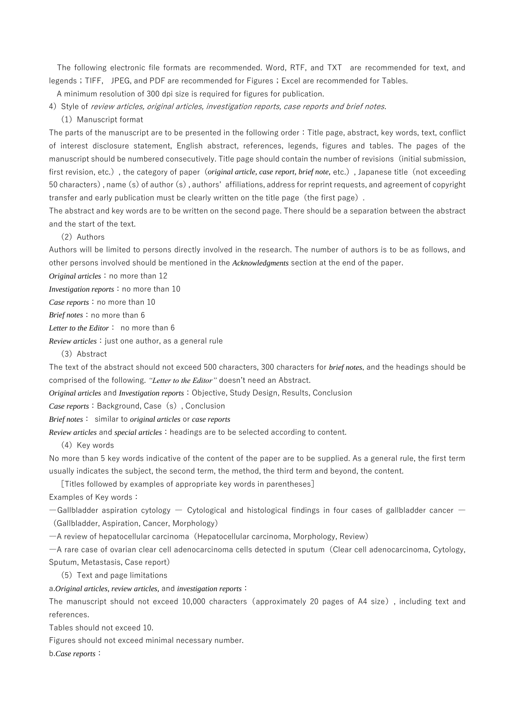The following electronic file formats are recommended. Word, RTF, and TXT are recommended for text, and legends; TIFF, JPEG, and PDF are recommended for Figures; Excel are recommended for Tables.

A minimum resolution of 300 dpi size is required for figures for publication.

4) Style of review articles, original articles, investigation reports, case reports and brief notes. (1) Manuscript format

The parts of the manuscript are to be presented in the following order:Title page, abstract, key words, text, conflict of interest disclosure statement, English abstract, references, legends, figures and tables. The pages of the manuscript should be numbered consecutively. Title page should contain the number of revisions(initial submission, first revision, etc.), the category of paper (*original article, case report, brief note*, etc.), Japanese title (not exceeding 50 characters), name (s) of author (s), authors' affiliations, address for reprint requests, and agreement of copyright transfer and early publication must be clearly written on the title page (the first page).

The abstract and key words are to be written on the second page. There should be a separation between the abstract and the start of the text.

(2) Authors

Authors will be limited to persons directly involved in the research. The number of authors is to be as follows, and other persons involved should be mentioned in the *Acknowledgments* section at the end of the paper.

*Original articles*: no more than 12

*Investigation reports*: no more than 10

*Case reports*: no more than 10

*Brief notes*: no more than 6

*Letter to the Editor*: no more than 6

*Review articles*:just one author, as a general rule

(3)Abstract

The text of the abstract should not exceed 500 characters, 300 characters for *brief notes*, and the headings should be comprised of the following. *"Letter to the Editor"* doesn't need an Abstract.

*Original articles* and *Investigation reports*:Objective, Study Design, Results, Conclusion

*Case reports*: Background, Case (s), Conclusion

*Brief notes*: similar to *original articles* or *case reports*

*Review articles* and *special articles*:headings are to be selected according to content.

(4) Key words

No more than 5 key words indicative of the content of the paper are to be supplied. As a general rule, the first term usually indicates the subject, the second term, the method, the third term and beyond, the content.

[Titles followed by examples of appropriate key words in parentheses]

Examples of Key words:

 $-$ Gallbladder aspiration cytology  $-$  Cytological and histological findings in four cases of gallbladder cancer  $-$ (Gallbladder, Aspiration, Cancer, Morphology)

―A review of hepatocellular carcinoma(Hepatocellular carcinoma, Morphology, Review)

―A rare case of ovarian clear cell adenocarcinoma cells detected in sputum(Clear cell adenocarcinoma, Cytology, Sputum, Metastasis, Case report)

(5)Text and page limitations

a.*Original articles, review articles,* and *investigation reports*:

The manuscript should not exceed 10,000 characters (approximately 20 pages of A4 size), including text and references.

Tables should not exceed 10.

Figures should not exceed minimal necessary number.

b.*Case reports*: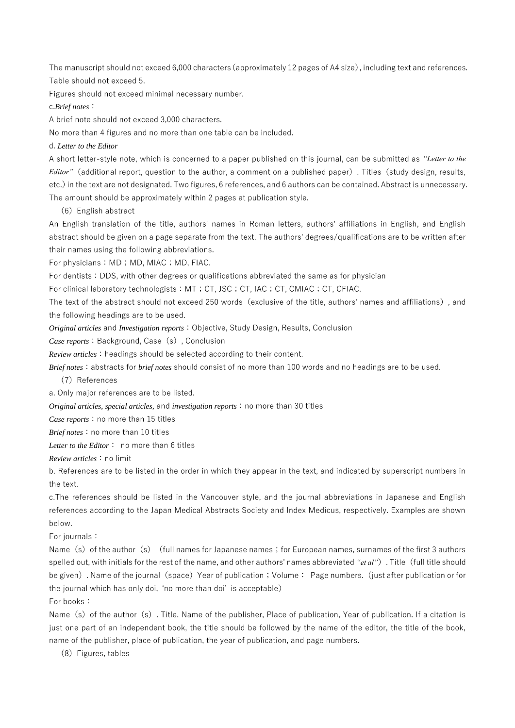The manuscript should not exceed 6,000 characters(approximately 12 pages of A4 size), including text and references. Table should not exceed 5.

Figures should not exceed minimal necessary number.

c.*Brief notes*:

A brief note should not exceed 3,000 characters.

No more than 4 figures and no more than one table can be included.

d. *Letter to the Editor*

A short letter-style note, which is concerned to a paper published on this journal, can be submitted as *"Letter to the Editor"*(additional report, question to the author, a comment on a published paper). Titles(study design, results, etc.)in the text are not designated. Two figures, 6 references, and 6 authors can be contained. Abstract is unnecessary. The amount should be approximately within 2 pages at publication style.

(6)English abstract

An English translation of the title, authors' names in Roman letters, authors' affiliations in English, and English abstract should be given on a page separate from the text. The authors' degrees/qualifications are to be written after their names using the following abbreviations.

For physicians: MD; MD, MIAC; MD, FIAC.

For dentists: DDS, with other degrees or qualifications abbreviated the same as for physician

For clinical laboratory technologists: MT; CT, JSC; CT, IAC; CT, CMIAC; CT, CFIAC.

The text of the abstract should not exceed 250 words(exclusive of the title, authors' names and affiliations), and the following headings are to be used.

*Original articles* and *Investigation reports*:Objective, Study Design, Results, Conclusion

*Case reports*:Background, Case(s), Conclusion

*Review articles*: headings should be selected according to their content.

*Brief notes*: abstracts for *brief notes* should consist of no more than 100 words and no headings are to be used.

(7)References

a. Only major references are to be listed.

*Original articles, special articles, and investigation reports*: no more than 30 titles

*Case reports*: no more than 15 titles

*Brief notes*: no more than 10 titles

*Letter to the Editor*: no more than 6 titles

*Review articles*:no limit

b. References are to be listed in the order in which they appear in the text, and indicated by superscript numbers in the text.

c.The references should be listed in the Vancouver style, and the journal abbreviations in Japanese and English references according to the Japan Medical Abstracts Society and Index Medicus, respectively. Examples are shown below.

For journals:

Name (s) of the author (s) (full names for Japanese names; for European names, surnames of the first 3 authors spelled out, with initials for the rest of the name, and other authors' names abbreviated *"et al"*). Title(full title should be given). Name of the journal (space) Year of publication; Volume: Page numbers. (just after publication or for the journal which has only doi, 'no more than doi' is acceptable)

For books:

Name (s) of the author (s). Title. Name of the publisher, Place of publication, Year of publication. If a citation is just one part of an independent book, the title should be followed by the name of the editor, the title of the book, name of the publisher, place of publication, the year of publication, and page numbers.

(8) Figures, tables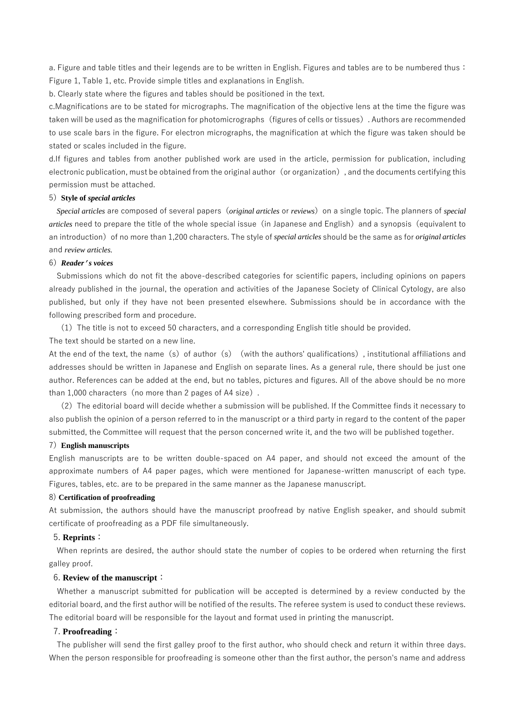a. Figure and table titles and their legends are to be written in English. Figures and tables are to be numbered thus: Figure 1, Table 1, etc. Provide simple titles and explanations in English.

b. Clearly state where the figures and tables should be positioned in the text.

c.Magnifications are to be stated for micrographs. The magnification of the objective lens at the time the figure was taken will be used as the magnification for photomicrographs(figures of cells or tissues). Authors are recommended to use scale bars in the figure. For electron micrographs, the magnification at which the figure was taken should be stated or scales included in the figure.

d.If figures and tables from another published work are used in the article, permission for publication, including electronic publication, must be obtained from the original author (or organization), and the documents certifying this permission must be attached.

## 5)**Style of** *special articles*

*Special articles* are composed of several papers(*original articles* or *reviews*)on a single topic. The planners of *special articles* need to prepare the title of the whole special issue (in Japanese and English) and a synopsis (equivalent to an introduction) of no more than 1,200 characters. The style of *special articles* should be the same as for *original articles* and *review articles.*

# 6)*Reader's voices*

Submissions which do not fit the above-described categories for scientific papers, including opinions on papers already published in the journal, the operation and activities of the Japanese Society of Clinical Cytology, are also published, but only if they have not been presented elsewhere. Submissions should be in accordance with the following prescribed form and procedure.

(1)The title is not to exceed 50 characters, and a corresponding English title should be provided.

The text should be started on a new line.

At the end of the text, the name (s) of author (s) (with the authors' qualifications), institutional affiliations and addresses should be written in Japanese and English on separate lines. As a general rule, there should be just one author. References can be added at the end, but no tables, pictures and figures. All of the above should be no more than 1,000 characters (no more than 2 pages of A4 size).

(2)The editorial board will decide whether a submission will be published. If the Committee finds it necessary to also publish the opinion of a person referred to in the manuscript or a third party in regard to the content of the paper submitted, the Committee will request that the person concerned write it, and the two will be published together.

#### 7)**English manuscripts**

English manuscripts are to be written double-spaced on A4 paper, and should not exceed the amount of the approximate numbers of A4 paper pages, which were mentioned for Japanese-written manuscript of each type. Figures, tables, etc. are to be prepared in the same manner as the Japanese manuscript.

### 8) **Certification of proofreading**

At submission, the authors should have the manuscript proofread by native English speaker, and should submit certificate of proofreading as a PDF file simultaneously.

#### 5. **Reprints**:

When reprints are desired, the author should state the number of copies to be ordered when returning the first galley proof.

## 6. **Review of the manuscript**:

Whether a manuscript submitted for publication will be accepted is determined by a review conducted by the editorial board, and the first author will be notified of the results. The referee system is used to conduct these reviews. The editorial board will be responsible for the layout and format used in printing the manuscript.

### 7. **Proofreading**:

The publisher will send the first galley proof to the first author, who should check and return it within three days. When the person responsible for proofreading is someone other than the first author, the person's name and address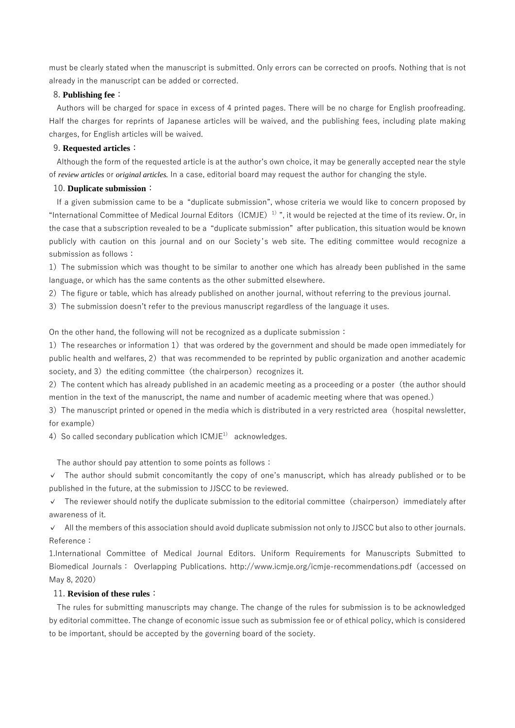must be clearly stated when the manuscript is submitted. Only errors can be corrected on proofs. Nothing that is not already in the manuscript can be added or corrected.

## 8. **Publishing fee**:

Authors will be charged for space in excess of 4 printed pages. There will be no charge for English proofreading. Half the charges for reprints of Japanese articles will be waived, and the publishing fees, including plate making charges, for English articles will be waived.

## 9. **Requested articles**:

Although the form of the requested article is at the author's own choice, it may be generally accepted near the style of *review articles* or *original articles.* In a case, editorial board may request the author for changing the style.

### 10. **Duplicate submission**:

If a given submission came to be a "duplicate submission", whose criteria we would like to concern proposed by "International Committee of Medical Journal Editors (ICMJE)<sup>1)</sup>", it would be rejected at the time of its review. Or, in the case that a subscription revealed to be a "duplicate submission" after publication, this situation would be known publicly with caution on this journal and on our Society 's web site. The editing committee would recognize a submission as follows:

1) The submission which was thought to be similar to another one which has already been published in the same language, or which has the same contents as the other submitted elsewhere.

2) The figure or table, which has already published on another journal, without referring to the previous journal.

3) The submission doesn't refer to the previous manuscript regardless of the language it uses.

On the other hand, the following will not be recognized as a duplicate submission:

1) The researches or information 1) that was ordered by the government and should be made open immediately for public health and welfares, 2) that was recommended to be reprinted by public organization and another academic society, and 3) the editing committee (the chairperson) recognizes it.

2) The content which has already published in an academic meeting as a proceeding or a poster (the author should mention in the text of the manuscript, the name and number of academic meeting where that was opened.)

3) The manuscript printed or opened in the media which is distributed in a very restricted area (hospital newsletter, for example)

4) So called secondary publication which  $ICMJE<sup>1</sup>$  acknowledges.

The author should pay attention to some points as follows:

✓ The author should submit concomitantly the copy of one's manuscript, which has already published or to be published in the future, at the submission to JJSCC to be reviewed.

✓ The reviewer should notify the duplicate submission to the editorial committee(chairperson)immediately after awareness of it.

✓ All the members of this association should avoid duplicate submission not only to JJSCC but also to other journals. Reference:

1.International Committee of Medical Journal Editors. Uniform Requirements for Manuscripts Submitted to Biomedical Journals: Overlapping Publications. http://www.icmje.org/icmje-recommendations.pdf(accessed on May 8, 2020)

### 11. **Revision of these rules**:

The rules for submitting manuscripts may change. The change of the rules for submission is to be acknowledged by editorial committee. The change of economic issue such as submission fee or of ethical policy, which is considered to be important, should be accepted by the governing board of the society.